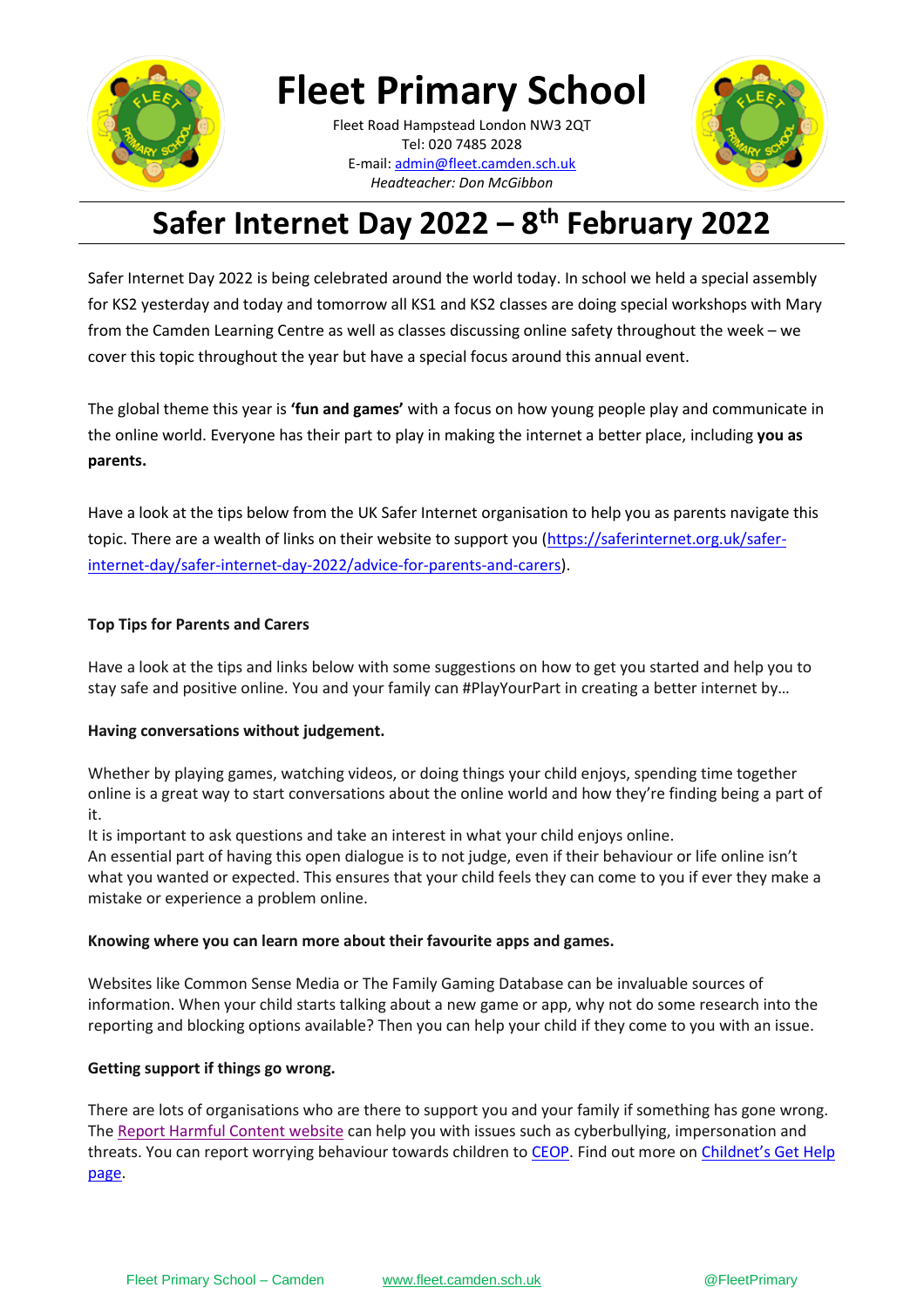

**Fleet Primary School**

**\_\_\_\_\_\_\_\_\_\_[\\_\\_\\_\\_\\_\\_\\_\\_\\_\\_\\_\\_\\_](mailto:admin@fleet.camden.sch.uk)\_\_\_\_\_\_** E-mail: admin@fleet.camden.sch.uk Fleet Road Hampstead London NW3 2QT Tel: 020 7485 2028 *Headteacher: Don McGibbon*



# **Safer Internet Day 2022 – 8 th February 2022**

Safer Internet Day 2022 is being celebrated around the world today. In school we held a special assembly for KS2 yesterday and today and tomorrow all KS1 and KS2 classes are doing special workshops with Mary from the Camden Learning Centre as well as classes discussing online safety throughout the week – we cover this topic throughout the year but have a special focus around this annual event.

The global theme this year is **'fun and games'** with a focus on how young people play and communicate in the online world. Everyone has their part to play in making the internet a better place, including **you as parents.** 

Have a look at the tips below from the UK Safer Internet organisation to help you as parents navigate this topic. There are a wealth of links on their website to support you [\(https://saferinternet.org.uk/safer](https://saferinternet.org.uk/safer-internet-day/safer-internet-day-2022/advice-for-parents-and-carers)[internet-day/safer-internet-day-2022/advice-for-parents-and-carers\)](https://saferinternet.org.uk/safer-internet-day/safer-internet-day-2022/advice-for-parents-and-carers).

## **Top Tips for Parents and Carers**

Have a look at the tips and links below with some suggestions on how to get you started and help you to stay safe and positive online. You and your family can #PlayYourPart in creating a better internet by…

## **Having conversations without judgement.**

Whether by playing games, watching videos, or doing things your child enjoys, spending time together online is a great way to start conversations about the online world and how they're finding being a part of it.

It is important to ask questions and take an interest in what your child enjoys online.

An essential part of having this open dialogue is to not judge, even if their behaviour or life online isn't what you wanted or expected. This ensures that your child feels they can come to you if ever they make a mistake or experience a problem online.

### **Knowing where you can learn more about their favourite apps and games.**

Websites like Common Sense Media or The Family Gaming Database can be invaluable sources of information. When your child starts talking about a new game or app, why not do some research into the reporting and blocking options available? Then you can help your child if they come to you with an issue.

## **Getting support if things go wrong.**

There are lots of organisations who are there to support you and your family if something has gone wrong. The [Report Harmful Content website](https://reportharmfulcontent.com/?lang=en) can help you with issues such as cyberbullying, impersonation and threats. You can report worrying behaviour towards children to [CEOP.](https://www.ceop.police.uk/Safety-Centre/) Find out more on Childnet's Get Help [page.](https://www.childnet.com/parents-and-carers/get-help/)